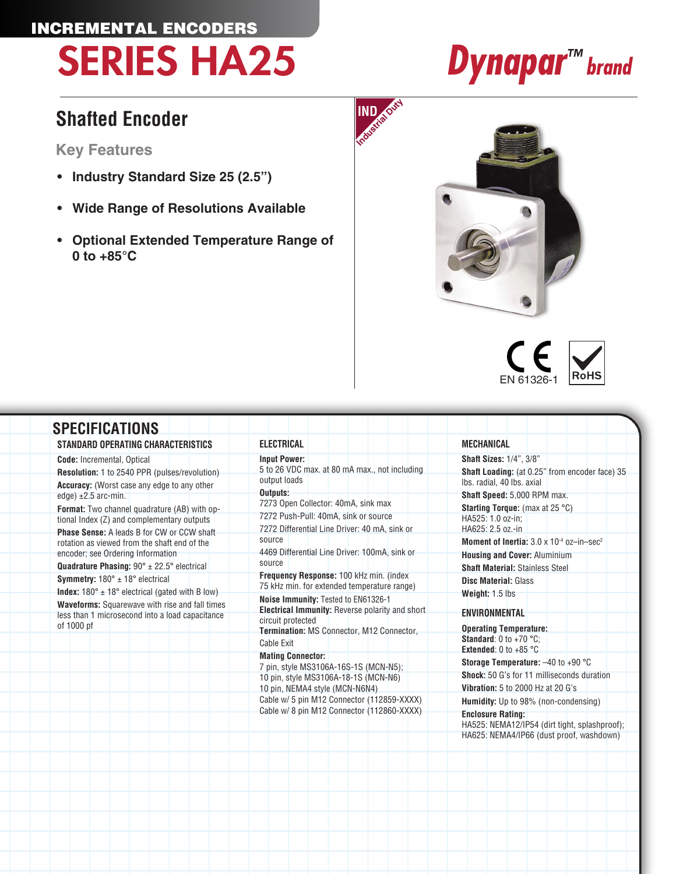# INCREMENTAL ENCODERS SERIES HA25 *Dynapar™ brand*

# **IND**

## **Shafted Encoder**

### **Key Features**

- **• Industry Standard Size 25 (2.5")**
- **• Wide Range of Resolutions Available**
- **• Optional Extended Temperature Range of 0 to +85°C**





| STANDARD OPERATING CHARACTERISTICS                                                                                                                                                                                                                                                                          | ELECTRICAL                                                                                                  | <b>MECHANICAL</b>                                                                                                     |
|-------------------------------------------------------------------------------------------------------------------------------------------------------------------------------------------------------------------------------------------------------------------------------------------------------------|-------------------------------------------------------------------------------------------------------------|-----------------------------------------------------------------------------------------------------------------------|
| <b>Code:</b> Incremental, Optical                                                                                                                                                                                                                                                                           | <b>Input Power:</b>                                                                                         | <b>Shaft Sizes: 1/4", 3/8"</b>                                                                                        |
| <b>Resolution: 1 to 2540 PPR (pulses/revolution)</b><br><b>Accuracy:</b> (Worst case any edge to any other                                                                                                                                                                                                  | 5 to 26 VDC max. at 80 mA max., not including<br>output loads                                               | Shaft Loading: (at 0.25" from encoder face) 35<br>Ibs. radial, 40 lbs. axial                                          |
| edge) $\pm 2.5$ arc-min.                                                                                                                                                                                                                                                                                    | Outputs:                                                                                                    | Shaft Speed: 5,000 RPM max.                                                                                           |
| <b>Format:</b> Two channel quadrature (AB) with op-                                                                                                                                                                                                                                                         | 7273 Open Collector: 40mA, sink max                                                                         | <b>Starting Torque:</b> (max at 25 $^{\circ}$ C)                                                                      |
| tional Index (Z) and complementary outputs                                                                                                                                                                                                                                                                  | 7272 Push-Pull: 40mA, sink or source                                                                        | HA525: 1.0 oz-in:                                                                                                     |
| Phase Sense: A leads B for CW or CCW shaft                                                                                                                                                                                                                                                                  | 7272 Differential Line Driver: 40 mA, sink or                                                               | HA625: 2.5 oz.-in                                                                                                     |
| rotation as viewed from the shaft end of the                                                                                                                                                                                                                                                                | source                                                                                                      | <b>Moment of Inertia:</b> $3.0 \times 10^{-4}$ oz-in-sec <sup>2</sup>                                                 |
| encoder; see Ordering Information                                                                                                                                                                                                                                                                           | 4469 Differential Line Driver: 100mA, sink or                                                               | <b>Housing and Cover: Aluminium</b>                                                                                   |
| <b>Quadrature Phasing:</b> $90^\circ \pm 22.5^\circ$ electrical<br><b>Symmetry:</b> $180^\circ \pm 18^\circ$ electrical<br><b>Index:</b> $180^\circ \pm 18^\circ$ electrical (gated with B low)<br><b>Waveforms:</b> Squarewave with rise and fall times<br>less than 1 microsecond into a load capacitance | source                                                                                                      | <b>Shaft Material: Stainless Steel</b>                                                                                |
|                                                                                                                                                                                                                                                                                                             | Frequency Response: 100 kHz min. (index<br>75 kHz min. for extended temperature range)                      | <b>Disc Material: Glass</b>                                                                                           |
|                                                                                                                                                                                                                                                                                                             | Noise Immunity: Tested to EN61326-1<br>Electrical Immunity: Reverse polarity and short<br>circuit protected | Weight: 1.5 lbs<br><b>ENVIRONMENTAL</b>                                                                               |
| of 1000 pf                                                                                                                                                                                                                                                                                                  | Termination: MS Connector, M12 Connector,                                                                   | <b>Operating Temperature:</b>                                                                                         |
|                                                                                                                                                                                                                                                                                                             | Cable Exit                                                                                                  | <b>Standard:</b> 0 to +70 $^{\circ}$ C:                                                                               |
|                                                                                                                                                                                                                                                                                                             | <b>Mating Connector:</b>                                                                                    | <b>Extended:</b> 0 to +85 $^{\circ}$ C                                                                                |
|                                                                                                                                                                                                                                                                                                             | 7 pin, style MS3106A-16S-1S (MCN-N5);                                                                       | <b>Storage Temperature:</b> $-40$ to $+90$ °C                                                                         |
|                                                                                                                                                                                                                                                                                                             | 10 pin, style MS3106A-18-1S (MCN-N6)                                                                        | <b>Shock:</b> 50 G's for 11 milliseconds duration                                                                     |
|                                                                                                                                                                                                                                                                                                             | 10 pin, NEMA4 style (MCN-N6N4)                                                                              | Vibration: 5 to 2000 Hz at 20 G's                                                                                     |
|                                                                                                                                                                                                                                                                                                             | Cable w/ 5 pin M12 Connector (112859-XXXX)                                                                  | <b>Humidity:</b> Up to 98% (non-condensing)                                                                           |
|                                                                                                                                                                                                                                                                                                             | Cable w/ 8 pin M12 Connector (112860-XXXX)                                                                  | <b>Enclosure Rating:</b><br>HA525: NEMA12/IP54 (dirt tight, splashproof);<br>HA625: NEMA4/IP66 (dust proof, washdown) |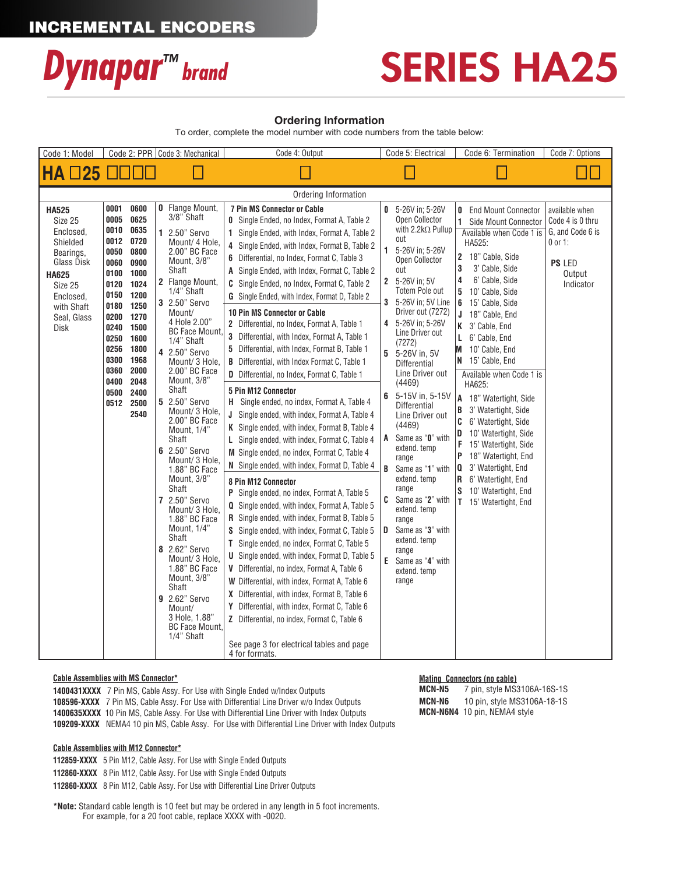### INCREMENTAL ENCODERS



# SERIES HA25

### **Ordering Information**

To order, complete the model number with code numbers from the table below:

| Code 1: Model                                                                                                                                            | Code 2: PPR Code 3: Mechanical<br>Code 4: Output                                                                                                                                                                                                                                                                     |                                                                                                                                                                                                                                                                                                                                                                                                                                                                                                                                                                                                                                                                                                                    | Code 5: Electrical                                                                                                                                                                                                                                                                                                                                                                                                                                                                                                                                                                                                                                                                                                                                                                                                                                                                                                                                                                                                                                                                                                                                                                                                                                                                                                                                                                                                                                                                                                                                                                                                                                                                            | Code 6: Termination                                                                                                                                                                                                                                                                                                                                                                                                                                                                                                                                                                                                                                                                              | Code 7: Options                                                                                                                                                                                                                                                                                                                                                                                                                                                                                                                                                                                                                             |                                                                                                      |  |  |
|----------------------------------------------------------------------------------------------------------------------------------------------------------|----------------------------------------------------------------------------------------------------------------------------------------------------------------------------------------------------------------------------------------------------------------------------------------------------------------------|--------------------------------------------------------------------------------------------------------------------------------------------------------------------------------------------------------------------------------------------------------------------------------------------------------------------------------------------------------------------------------------------------------------------------------------------------------------------------------------------------------------------------------------------------------------------------------------------------------------------------------------------------------------------------------------------------------------------|-----------------------------------------------------------------------------------------------------------------------------------------------------------------------------------------------------------------------------------------------------------------------------------------------------------------------------------------------------------------------------------------------------------------------------------------------------------------------------------------------------------------------------------------------------------------------------------------------------------------------------------------------------------------------------------------------------------------------------------------------------------------------------------------------------------------------------------------------------------------------------------------------------------------------------------------------------------------------------------------------------------------------------------------------------------------------------------------------------------------------------------------------------------------------------------------------------------------------------------------------------------------------------------------------------------------------------------------------------------------------------------------------------------------------------------------------------------------------------------------------------------------------------------------------------------------------------------------------------------------------------------------------------------------------------------------------|--------------------------------------------------------------------------------------------------------------------------------------------------------------------------------------------------------------------------------------------------------------------------------------------------------------------------------------------------------------------------------------------------------------------------------------------------------------------------------------------------------------------------------------------------------------------------------------------------------------------------------------------------------------------------------------------------|---------------------------------------------------------------------------------------------------------------------------------------------------------------------------------------------------------------------------------------------------------------------------------------------------------------------------------------------------------------------------------------------------------------------------------------------------------------------------------------------------------------------------------------------------------------------------------------------------------------------------------------------|------------------------------------------------------------------------------------------------------|--|--|
| <b>HA 025 0000</b>                                                                                                                                       |                                                                                                                                                                                                                                                                                                                      |                                                                                                                                                                                                                                                                                                                                                                                                                                                                                                                                                                                                                                                                                                                    |                                                                                                                                                                                                                                                                                                                                                                                                                                                                                                                                                                                                                                                                                                                                                                                                                                                                                                                                                                                                                                                                                                                                                                                                                                                                                                                                                                                                                                                                                                                                                                                                                                                                                               |                                                                                                                                                                                                                                                                                                                                                                                                                                                                                                                                                                                                                                                                                                  |                                                                                                                                                                                                                                                                                                                                                                                                                                                                                                                                                                                                                                             |                                                                                                      |  |  |
| Ordering Information                                                                                                                                     |                                                                                                                                                                                                                                                                                                                      |                                                                                                                                                                                                                                                                                                                                                                                                                                                                                                                                                                                                                                                                                                                    |                                                                                                                                                                                                                                                                                                                                                                                                                                                                                                                                                                                                                                                                                                                                                                                                                                                                                                                                                                                                                                                                                                                                                                                                                                                                                                                                                                                                                                                                                                                                                                                                                                                                                               |                                                                                                                                                                                                                                                                                                                                                                                                                                                                                                                                                                                                                                                                                                  |                                                                                                                                                                                                                                                                                                                                                                                                                                                                                                                                                                                                                                             |                                                                                                      |  |  |
| <b>HA525</b><br>Size 25<br>Enclosed,<br>Shielded<br>Bearings,<br>Glass Disk<br><b>HA625</b><br>Size 25<br>Enclosed,<br>with Shaft<br>Seal, Glass<br>Disk | 0001<br>0600<br>0625<br>0005<br>0010<br>0635<br>0012<br>0720<br>0050<br>0800<br>0060<br>0900<br>0100<br>1000<br>0120<br>1024<br>1200<br>0150<br>0180<br>1250<br>0200<br>1270<br>0240<br>1500<br>0250<br>1600<br>0256<br>1800<br>0300<br>1968<br>0360<br>2000<br>0400<br>2048<br>0500<br>2400<br>0512<br>2500<br>2540 | <b>0</b> Flange Mount,<br>3/8" Shaft<br>1 2.50" Servo<br>Mount/ 4 Hole,<br>2.00" BC Face<br>Mount, 3/8"<br>Shaft<br>2 Flange Mount,<br>1/4" Shaft<br>3 2.50" Servo<br>Mount/<br>4 Hole 2.00"<br><b>BC Face Mount.</b><br>1/4" Shaft<br>4 2.50" Servo<br>Mount/ 3 Hole,<br>2.00" BC Face<br>Mount, 3/8"<br>Shaft<br>5 2.50" Servo<br>Mount/ 3 Hole,<br>2.00" BC Face<br>Mount, 1/4"<br>Shaft<br>6 2.50" Servo<br>Mount/ 3 Hole,<br>1.88" BC Face<br>Mount, 3/8"<br>Shaft<br>7 2.50" Servo<br>Mount/ 3 Hole,<br>1.88" BC Face<br>Mount, 1/4"<br>Shaft<br>8 2.62" Servo<br>Mount/ 3 Hole,<br>1.88" BC Face<br>Mount, 3/8"<br>Shaft<br>9 2.62" Servo<br>Mount/<br>3 Hole, 1.88"<br><b>BC Face Mount.</b><br>1/4" Shaft | <b>7 Pin MS Connector or Cable</b><br><b>0</b> Single Ended, no Index, Format A, Table 2<br>1 Single Ended, with Index, Format A, Table 2<br>4 Single Ended, with Index, Format B, Table 2<br>6 Differential, no Index, Format C, Table 3<br>A Single Ended, with Index, Format C, Table 2<br><b>C</b> Single Ended, no Index, Format C, Table 2<br><b>G</b> Single Ended, with Index, Format D, Table 2<br><b>10 Pin MS Connector or Cable</b><br>2 Differential, no Index, Format A, Table 1<br>3 Differential, with Index, Format A, Table 1<br>5 Differential, with Index, Format B, Table 1<br><b>B</b> Differential, with Index Format C, Table 1<br>D Differential, no Index, Format C, Table 1<br><b>5 Pin M12 Connector</b><br>H Single ended, no index, Format A, Table 4<br>J Single ended, with index, Format A, Table 4<br>K Single ended, with index, Format B, Table 4<br>L Single ended, with index, Format C, Table 4<br>M Single ended, no index, Format C, Table 4<br>N Single ended, with index, Format D, Table 4<br>8 Pin M12 Connector<br>P Single ended, no index, Format A, Table 5<br>Q Single ended, with index, Format A, Table 5<br>R Single ended, with index, Format B, Table 5<br><b>S</b> Single ended, with index, Format C, Table 5<br>T Single ended, no index, Format C, Table 5<br><b>U</b> Single ended, with index, Format D, Table 5<br>V Differential, no index, Format A, Table 6<br>W Differential, with index, Format A, Table 6<br>X Differential, with index, Format B, Table 6<br>Y Differential, with index, Format C, Table 6<br>Z Differential, no index, Format C, Table 6<br>See page 3 for electrical tables and page<br>4 for formats. | 0 5-26V in: 5-26V<br>Open Collector<br>with $2.2$ k $\Omega$ Pullup<br>out<br>$\mathbf{1}$<br>5-26V in: 5-26V<br>Open Collector<br>out<br>5-26V in: 5V<br>2<br>Totem Pole out<br>5-26V in: 5V Line<br>3<br>Driver out (7272)<br>5-26V in: 5-26V<br>4<br>Line Driver out<br>(7272)<br>5<br>5-26V in. 5V<br><b>Differential</b><br>Line Driver out<br>(4469)<br>5-15V in, 5-15V<br>6<br><b>Differential</b><br>Line Driver out<br>(4469)<br>Same as "0" with<br>A<br>extend. temp<br>range<br>B<br>Same as "1" with<br>extend. temp<br>range<br>Same as "2" with<br>C<br>extend. temp<br>range<br>Same as "3" with<br>D<br>extend. temp<br>range<br>E<br>Same as "4" with<br>extend. temp<br>range | <b>0</b> End Mount Connector<br>1 Side Mount Connector<br>Available when Code 1 is<br>HA525:<br>2 18" Cable, Side<br>3' Cable, Side<br>3<br>6' Cable, Side<br>4<br>5 10' Cable, Side<br>6 15' Cable, Side<br>J<br>18" Cable, End<br>K 3' Cable, End<br>L 6' Cable, End<br>10' Cable, End<br>M<br>N 15' Cable, End<br>Available when Code 1 is<br>HA625:<br>A 18" Watertight, Side<br>B<br>3' Watertight, Side<br>6' Watertight, Side<br>C<br>D<br>10' Watertight, Side<br>F<br>15' Watertight, Side<br>P<br>18" Watertight, End<br>3' Watertight, End<br>10<br>R<br>6' Watertight, End<br>S<br>10' Watertight, End<br>T 15' Watertight, End | available when<br>Code 4 is 0 thru<br>G, and Code 6 is<br>$0$ or 1:<br>PS LED<br>Output<br>Indicator |  |  |

### **Cable Assemblies with MS Connector\***

**1400431XXXX** 7 Pin MS, Cable Assy. For Use with Single Ended w/Index Outputs **108596-XXXX** 7 Pin MS, Cable Assy. For Use with Differential Line Driver w/o Index Outputs **1400635XXXX** 10 Pin MS, Cable Assy. For Use with Differential Line Driver with Index Outputs **109209-XXXX** NEMA4 10 pin MS, Cable Assy. For Use with Differential Line Driver with Index Outputs

#### **Cable Assemblies with M12 Connector\***

**112859-XXXX** 5 Pin M12, Cable Assy. For Use with Single Ended Outputs **112860-XXXX** 8 Pin M12, Cable Assy. For Use with Single Ended Outputs **112860-XXXX** 8 Pin M12, Cable Assy. For Use with Differential Line Driver Outputs

**\*Note:** Standard cable length is 10 feet but may be ordered in any length in 5 foot increments. For example, for a 20 foot cable, replace XXXX with -0020.

### **Mating Connectors (no cable)**<br>**MCN-N5** 7 pin, style MS3

**MCN-N5** 7 pin, style MS3106A-16S-1S **MCN-N6** 10 pin, style MS3106A-18-1S **MCN-N6N4** 10 pin, NEMA4 style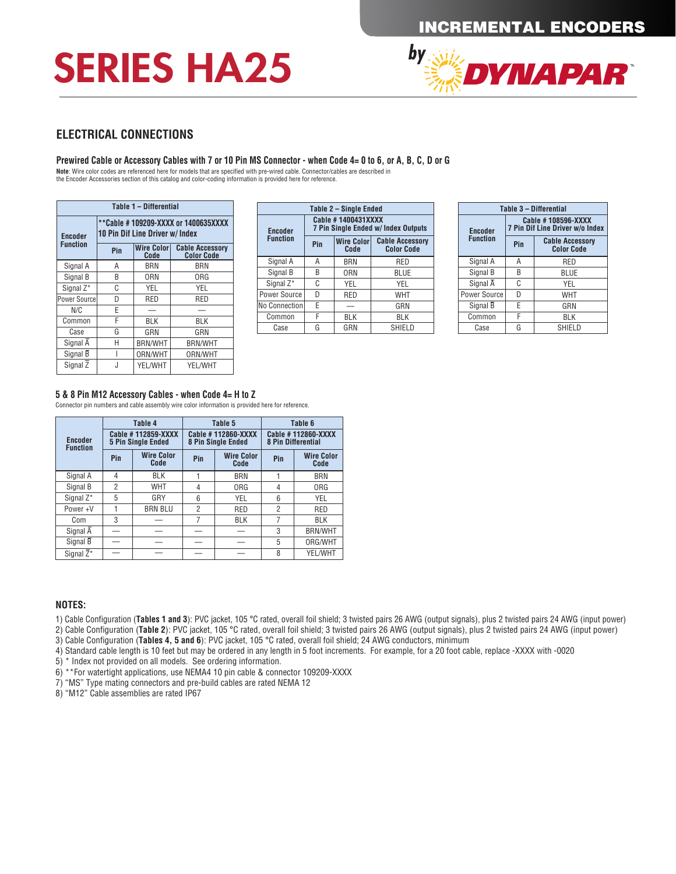# SERIES HA25



### **ELECTRICAL CONNECTIONS**

#### **Prewired Cable or Accessory Cables with 7 or 10 Pin MS Connector - when Code 4= 0 to 6, or A, B, C, D or G**

**Note**: Wire color codes are referenced here for models that are specified with pre-wired cable. Connector/cables are described in the Encoder Accessories section of this catalog and color-coding information is provided here for reference.

| Table 1 - Differential |                                                                               |                           |                                             |  |  |  |  |  |
|------------------------|-------------------------------------------------------------------------------|---------------------------|---------------------------------------------|--|--|--|--|--|
| <b>Encoder</b>         | **Cable #109209-XXXX or 1400635XXXX<br><b>10 Pin Dif Line Driver w/ Index</b> |                           |                                             |  |  |  |  |  |
| <b>Function</b>        | Pin                                                                           | <b>Wire Color</b><br>Code | <b>Cable Accessory</b><br><b>Color Code</b> |  |  |  |  |  |
| Signal A               | Α                                                                             | BRN                       | BRN                                         |  |  |  |  |  |
| Signal B               | B                                                                             | 0RN                       | 0RG                                         |  |  |  |  |  |
| Signal Z*              | C                                                                             | YEL                       | YEL                                         |  |  |  |  |  |
| Power Source           | D                                                                             | RED                       | RED                                         |  |  |  |  |  |
| N/C                    | Е                                                                             |                           |                                             |  |  |  |  |  |
| Common                 | F                                                                             | BLK                       | BLK                                         |  |  |  |  |  |
| Case                   | G                                                                             | GRN                       | GRN                                         |  |  |  |  |  |
| Signal $\overline{A}$  | Н                                                                             | <b>BRN/WHT</b>            | <b>BRN/WHT</b>                              |  |  |  |  |  |
| Signal B               |                                                                               | ORN/WHT                   | ORN/WHT                                     |  |  |  |  |  |
| Signal Z               |                                                                               | YEL/WHT                   | YEL/WHT                                     |  |  |  |  |  |

|                                                                         | Table 1 – Differential |                        | Table 2 - Single Ended                                    |     | Table 3 - Differential    |                                             |                                                       |     |                                             |
|-------------------------------------------------------------------------|------------------------|------------------------|-----------------------------------------------------------|-----|---------------------------|---------------------------------------------|-------------------------------------------------------|-----|---------------------------------------------|
| **Cable # 109209-XXXX or 1400635XXXX<br>10 Pin Dif Line Driver w/ Index |                        | <b>Encoder</b>         | Cable #1400431XXXX<br>7 Pin Single Ended w/ Index Outputs |     |                           | <b>Encoder</b>                              | Cable #108596-XXXX<br>7 Pin Dif Line Driver w/o Index |     |                                             |
| Pin                                                                     | <b>Wire Color</b>      | <b>Cable Accessory</b> | <b>Function</b>                                           | Pin | <b>Wire Color</b><br>Code | <b>Cable Accessory</b><br><b>Color Code</b> | <b>Function</b>                                       | Pin | <b>Cable Accessory</b><br><b>Color Code</b> |
|                                                                         | Code                   | <b>Color Code</b>      |                                                           |     |                           |                                             |                                                       |     |                                             |
| A                                                                       | <b>BRN</b>             | <b>BRN</b>             | Signal A                                                  | A   | <b>BRN</b>                | RED                                         | Signal A                                              | Α   | RED                                         |
| B                                                                       | 0RN                    | ORG                    | Signal B                                                  | B   | ORN                       | <b>BLUE</b>                                 | Signal B                                              | B   | <b>BLUE</b>                                 |
| ⌒                                                                       |                        |                        | Signal Z*                                                 | C   | <b>YEL</b>                | <b>YEL</b>                                  | Signal A                                              | C   | YEL                                         |
| U                                                                       | <b>YEL</b>             | <b>YEL</b>             | Power Source                                              | D   | <b>RED</b>                | <b>WHT</b>                                  | Power Source                                          | D   | <b>WHT</b>                                  |
| D                                                                       | <b>RED</b>             | RED                    |                                                           |     |                           |                                             |                                                       |     |                                             |
|                                                                         |                        |                        | No Connection                                             | E   |                           | GRN                                         | Signal B                                              | E   | GRN                                         |
|                                                                         |                        |                        | Common                                                    |     | <b>BLK</b>                | <b>BLK</b>                                  | Common                                                |     | <b>BLK</b>                                  |
|                                                                         | <b>BLK</b>             | <b>BLK</b>             |                                                           | G   |                           |                                             |                                                       | G   |                                             |
| G                                                                       | GRN                    | GRN                    | Case                                                      |     | GRN                       | SHIELD                                      | Case                                                  |     | <b>SHIELD</b>                               |

| Table 3 - Differential |                                                       |                                             |  |  |  |  |
|------------------------|-------------------------------------------------------|---------------------------------------------|--|--|--|--|
| <b>Encoder</b>         | Cable #108596-XXXX<br>7 Pin Dif Line Driver w/o Index |                                             |  |  |  |  |
| <b>Function</b>        | Pin                                                   | <b>Cable Accessory</b><br><b>Color Code</b> |  |  |  |  |
| Signal A               | Α                                                     | RED                                         |  |  |  |  |
| Signal B               | R                                                     | BLUE                                        |  |  |  |  |
| Signal A               | C                                                     | YEL                                         |  |  |  |  |
| Power Source           | D                                                     | <b>WHT</b>                                  |  |  |  |  |
| Signal B               | F                                                     | GRN                                         |  |  |  |  |
| Common                 | F                                                     | BLK                                         |  |  |  |  |
| Case                   | G<br>SHIELD                                           |                                             |  |  |  |  |

### **5 & 8 Pin M12 Accessory Cables - when Code 4= H to Z**

Connector pin numbers and cable assembly wire color information is provided here for reference.

| <b>Encoder</b>          |                | Table 4<br>Cable #112859-XXXX                  |                | Table 5<br>Cable #112860-XXXX           | Table 6<br><b>Cable #112860-XXXX</b><br><b>8 Pin Differential</b> |                   |  |
|-------------------------|----------------|------------------------------------------------|----------------|-----------------------------------------|-------------------------------------------------------------------|-------------------|--|
| <b>Function</b><br>Pin  |                | <b>5 Pin Single Ended</b><br><b>Wire Color</b> | Pin            | 8 Pin Single Ended<br><b>Wire Color</b> | Pin                                                               | <b>Wire Color</b> |  |
|                         |                | Code                                           |                | Code                                    |                                                                   | Code              |  |
| Signal A                | $\overline{4}$ | <b>BLK</b>                                     |                | <b>BRN</b>                              |                                                                   | <b>BRN</b>        |  |
| Signal B                | $\overline{2}$ | <b>WHT</b>                                     | 4              | <b>ORG</b>                              | 4                                                                 | <b>ORG</b>        |  |
| Signal Z*               | 5              | GRY                                            | 6              | <b>YEL</b>                              | 6                                                                 | <b>YEL</b>        |  |
| Power+V                 |                | <b>BRN BLU</b>                                 | $\overline{2}$ | <b>RED</b>                              | $\overline{2}$                                                    | <b>RED</b>        |  |
| Com                     | 3              |                                                | 7              | <b>BLK</b>                              | 7                                                                 | <b>BLK</b>        |  |
| Signal $\overline{A}$   |                |                                                |                |                                         | 3                                                                 | <b>BRN/WHT</b>    |  |
| Signal B                |                |                                                |                |                                         | 5                                                                 | ORG/WHT           |  |
| Signal $\overline{Z}^*$ |                |                                                |                |                                         | 8                                                                 | YEL/WHT           |  |

#### **NOTES:**

1) Cable Configuration (**Tables 1 and 3**): PVC jacket, 105 °C rated, overall foil shield; 3 twisted pairs 26 AWG (output signals), plus 2 twisted pairs 24 AWG (input power)

2) Cable Configuration (**Table 2**): PVC jacket, 105 °C rated, overall foil shield; 3 twisted pairs 26 AWG (output signals), plus 2 twisted pairs 24 AWG (input power) 3) Cable Configuration (**Tables 4, 5 and 6**): PVC jacket, 105 °C rated, overall foil shield; 24 AWG conductors, minimum

4) Standard cable length is 10 feet but may be ordered in any length in 5 foot increments. For example, for a 20 foot cable, replace -XXXX with -0020

5) \* Index not provided on all models. See ordering information.

6) \*\*For watertight applications, use NEMA4 10 pin cable & connector 109209-XXXX

7) "MS" Type mating connectors and pre-build cables are rated NEMA 12

8) "M12" Cable assemblies are rated IP67